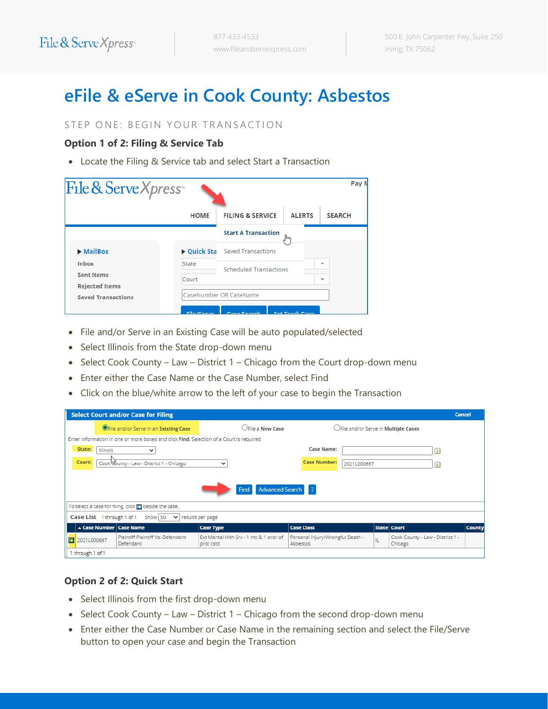# **eFile & eServe in Cook County: Asbestos**

#### STEP ONE: BEGIN YOUR TRANSACTION

#### **Option 1 of 2: Filing & Service Tab**

• Locate the Filing & Service tab and select Start a Transaction

| File & Serve Xpress                                |                        |                                |               | Pay N                    |  |
|----------------------------------------------------|------------------------|--------------------------------|---------------|--------------------------|--|
|                                                    | <b>HOME</b>            | <b>FILING &amp; SERVICE</b>    | <b>ALERTS</b> | <b>SEARCH</b>            |  |
|                                                    |                        | <b>Start A Transaction</b>     | lm            |                          |  |
| $\blacktriangleright$ MailBox                      |                        | ▶ Quick Sta Saved Transactions |               |                          |  |
| <b>Inbox</b>                                       | State                  | Scheduled Transactions         | ÷             |                          |  |
| <b>Sent Items</b>                                  | Court                  |                                |               | $\overline{\phantom{a}}$ |  |
| <b>Rejected Items</b><br><b>Saved Transactions</b> | CaseNumber OR CaseName |                                |               |                          |  |

- File and/or Serve in an Existing Case will be auto populated/selected
- Select Illinois from the State drop-down menu
- Select Cook County Law District 1 Chicago from the Court drop-down menu
- Enter either the Case Name or the Case Number, select Find
- Click on the blue/white arrow to the left of your case to begin the Transaction

| <b>Select Court and/or Case for Filing</b><br><b>Cancel</b>                             |                                                                                           |                                                      |                                              |                                             |                                             |               |  |  |  |  |
|-----------------------------------------------------------------------------------------|-------------------------------------------------------------------------------------------|------------------------------------------------------|----------------------------------------------|---------------------------------------------|---------------------------------------------|---------------|--|--|--|--|
|                                                                                         | <b>OFile and/or Serve in an Existing Case</b>                                             | CFile a New Case                                     |                                              | OFile and/or Serve in <b>Multiple Cases</b> |                                             |               |  |  |  |  |
| Enter information in one or more boxes and click Find. Selection of a Court is required |                                                                                           |                                                      |                                              |                                             |                                             |               |  |  |  |  |
| State:<br><b>Illinois</b>                                                               | v                                                                                         |                                                      | <b>Case Name:</b>                            |                                             | $\overline{1}$                              |               |  |  |  |  |
| Court:                                                                                  | <b>Case Number:</b><br>Cook Wounty - Law - District 1 - Chicago<br>2021L000697<br>v<br>Πī |                                                      |                                              |                                             |                                             |               |  |  |  |  |
|                                                                                         | Advanced Search 7<br>Find                                                                 |                                                      |                                              |                                             |                                             |               |  |  |  |  |
|                                                                                         | To select a case for filing, click <b>p</b> beside the case.                              |                                                      |                                              |                                             |                                             |               |  |  |  |  |
|                                                                                         | Case List 1 through 1 of 1 Show   50 ↓ results per page                                   |                                                      |                                              |                                             |                                             |               |  |  |  |  |
| Case Number Case Name                                                                   |                                                                                           | <b>Case Type</b>                                     | <b>Case Class</b>                            |                                             | State Court                                 | <b>County</b> |  |  |  |  |
| 2021L000697                                                                             | Plaintiff Plaintiff Vs. Defendant<br>Defendant                                            | Ext Mental Hith Srv - 1 ntc & 1 ordr of<br>prot cstd | Personal Injury/Wrongful Death -<br>Asbestos | IL.                                         | Cook County - Law - District 1 -<br>Chicago |               |  |  |  |  |
| 1 through 1 of 1                                                                        |                                                                                           |                                                      |                                              |                                             |                                             |               |  |  |  |  |

#### **Option 2 of 2: Quick Start**

- Select Illinois from the first drop-down menu
- Select Cook County Law District 1 Chicago from the second drop-down menu
- Enter either the Case Number or Case Name in the remaining section and select the File/Serve button to open your case and begin the Transaction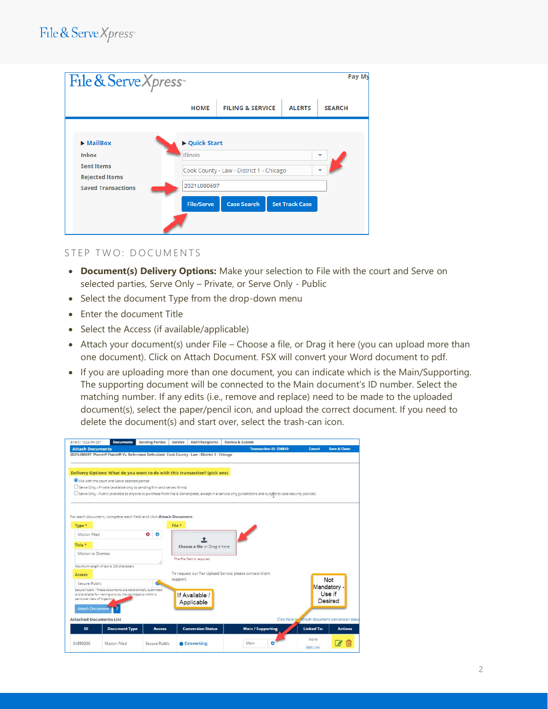| File & Serve Xpress                                                                                                      |                                                                      |                                                                |                       | Pay My                                               |
|--------------------------------------------------------------------------------------------------------------------------|----------------------------------------------------------------------|----------------------------------------------------------------|-----------------------|------------------------------------------------------|
|                                                                                                                          | <b>HOME</b>                                                          | <b>FILING &amp; SERVICE</b>                                    | <b>ALERTS</b>         | <b>SEARCH</b>                                        |
| $\blacktriangleright$ MailBox<br><b>Inbox</b><br><b>Sent Items</b><br><b>Rejected Items</b><br><b>Saved Transactions</b> | ▶ Quick Start<br><b>Illinois</b><br>2021L000697<br><b>File/Serve</b> | Cook County - Law - District 1 - Chicago<br><b>Case Search</b> | <b>Set Track Case</b> | $\overline{\phantom{a}}$<br>$\overline{\phantom{a}}$ |

#### STEP TWO: DOCUMENTS

- **Document(s) Delivery Options:** Make your selection to File with the court and Serve on selected parties, Serve Only – Private, or Serve Only - Public
- Select the document Type from the drop-down menu
- Enter the document Title
- Select the Access (if available/applicable)
- Attach your document(s) under File Choose a file, or Drag it here (you can upload more than one document). Click on Attach Document. FSX will convert your Word document to pdf.
- If you are uploading more than one document, you can indicate which is the Main/Supporting. The supporting document will be connected to the Main document's ID number. Select the matching number. If any edits (i.e., remove and replace) need to be made to the uploaded document(s), select the paper/pencil icon, and upload the correct document. If you need to delete the document(s) and start over, select the trash-can icon.

| 8/19/21 10:25 PM CDT            | <b>Documents</b>                                             | <b>Sending Parties</b>                                                   | <b>Add'l Recipients</b><br>Service                                                               | <b>Review &amp; Submit</b>                                                                                                                                     |                                                 |                         |
|---------------------------------|--------------------------------------------------------------|--------------------------------------------------------------------------|--------------------------------------------------------------------------------------------------|----------------------------------------------------------------------------------------------------------------------------------------------------------------|-------------------------------------------------|-------------------------|
| <b>Attach Documents</b>         |                                                              |                                                                          |                                                                                                  | <b>Transaction ID: 236810</b>                                                                                                                                  | <b>Cancel</b>                                   | <b>Save &amp; Close</b> |
|                                 |                                                              |                                                                          | 2021L000697 Plaintiff Plaintiff Vs. Defendant Defendant Cook County - Law - District 1 - Chicago |                                                                                                                                                                |                                                 |                         |
|                                 |                                                              |                                                                          |                                                                                                  |                                                                                                                                                                |                                                 |                         |
|                                 |                                                              |                                                                          | Delivery Options: What do you want to do with this transaction? (pick one)                       |                                                                                                                                                                |                                                 |                         |
|                                 | File with the court and Serve selected parties               |                                                                          |                                                                                                  |                                                                                                                                                                |                                                 |                         |
|                                 |                                                              | O Serve Only - Private (available only to sending firm and served firms) |                                                                                                  |                                                                                                                                                                |                                                 |                         |
|                                 |                                                              |                                                                          |                                                                                                  | O Serve Only - Public (available to anyone to purchase from File & ServeXpress, except in e-service only jurisdictions and subject to case security policies). |                                                 |                         |
|                                 |                                                              |                                                                          |                                                                                                  |                                                                                                                                                                |                                                 |                         |
|                                 |                                                              |                                                                          |                                                                                                  |                                                                                                                                                                |                                                 |                         |
|                                 |                                                              | For each document, complete each field and click Attach Document.        |                                                                                                  |                                                                                                                                                                |                                                 |                         |
| Type *                          |                                                              |                                                                          | File *                                                                                           |                                                                                                                                                                |                                                 |                         |
| Motion Filed                    |                                                              | $\bullet$<br>Θ                                                           |                                                                                                  |                                                                                                                                                                |                                                 |                         |
|                                 |                                                              |                                                                          |                                                                                                  |                                                                                                                                                                |                                                 |                         |
| Title *                         |                                                              |                                                                          | Choose a file or Drag it here                                                                    |                                                                                                                                                                |                                                 |                         |
| Motion to Dismiss               |                                                              |                                                                          |                                                                                                  |                                                                                                                                                                |                                                 |                         |
|                                 |                                                              |                                                                          | The File field is required.                                                                      |                                                                                                                                                                |                                                 |                         |
|                                 | Maximum length of text is 200 characters                     |                                                                          |                                                                                                  |                                                                                                                                                                |                                                 |                         |
| <b>Access</b>                   |                                                              |                                                                          |                                                                                                  | To request our Fax Upload Service please contact client                                                                                                        |                                                 |                         |
| Secure Public                   |                                                              | c                                                                        | support.                                                                                         |                                                                                                                                                                |                                                 | Not                     |
|                                 | Secure Public - These documents are electronically submitted |                                                                          |                                                                                                  |                                                                                                                                                                |                                                 | Mandatory -<br>Use if   |
| particular class of litigation. | and available for viewing only by the participants within a  |                                                                          | If Available /                                                                                   |                                                                                                                                                                |                                                 | Desired                 |
|                                 |                                                              |                                                                          | Applicable                                                                                       |                                                                                                                                                                |                                                 |                         |
| <b>Attach Document</b>          |                                                              |                                                                          |                                                                                                  |                                                                                                                                                                |                                                 |                         |
| <b>Attached Documents List</b>  |                                                              |                                                                          |                                                                                                  |                                                                                                                                                                | Click here to sefresh document conversion statu |                         |
| ID                              | <b>Document Type</b>                                         | <b>Access</b>                                                            | <b>Conversion Status</b>                                                                         | <b>Main / Supporting</b>                                                                                                                                       | <b>Linked To:</b>                               | <b>Actions</b>          |
|                                 |                                                              |                                                                          |                                                                                                  |                                                                                                                                                                |                                                 |                         |
| 34890306                        | Motion Filed                                                 | Secure Public                                                            | Converting                                                                                       | O<br>Main                                                                                                                                                      | None                                            | Im                      |
|                                 |                                                              |                                                                          |                                                                                                  |                                                                                                                                                                | <b>Edit Link</b>                                |                         |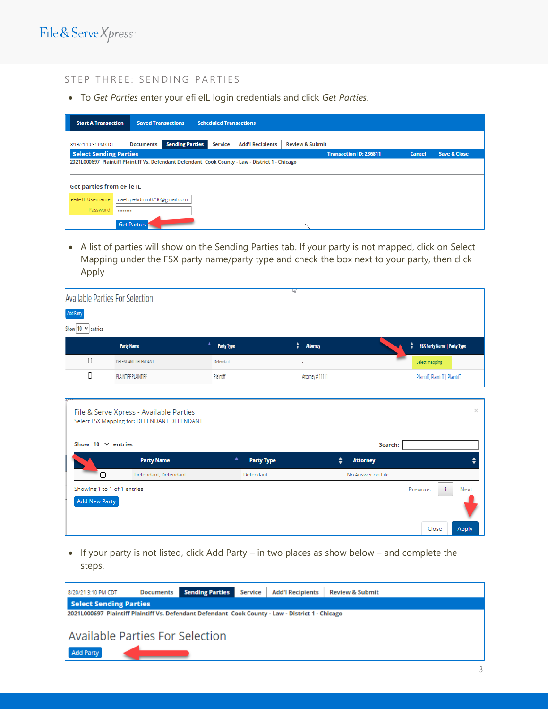#### STEP THREE: SENDING PARTIES

• To *Get Parties* enter your efileIL login credentials and click *Get Parties*.

| <b>Start A Transaction</b>       |                            | <b>Saved Transactions</b> | <b>Scheduled Transactions</b> |                                                                                                  |                            |                               |               |                         |
|----------------------------------|----------------------------|---------------------------|-------------------------------|--------------------------------------------------------------------------------------------------|----------------------------|-------------------------------|---------------|-------------------------|
| 8/19/21 10:31 PM CDT             | <b>Documents</b>           | <b>Sending Parties</b>    | Service                       | <b>Add'l Recipients</b>                                                                          | <b>Review &amp; Submit</b> |                               |               |                         |
| <b>Select Sending Parties</b>    |                            |                           |                               |                                                                                                  |                            | <b>Transaction ID: 236811</b> | <b>Cancel</b> | <b>Save &amp; Close</b> |
|                                  |                            |                           |                               | 2021L000697 Plaintiff Plaintiff Vs. Defendant Defendant Cook County - Law - District 1 - Chicago |                            |                               |               |                         |
|                                  |                            |                           |                               |                                                                                                  |                            |                               |               |                         |
| <b>Get parties from eFile IL</b> |                            |                           |                               |                                                                                                  |                            |                               |               |                         |
| eFile IL Username:               | gaefsp+Admin0730@gmail.com |                           |                               |                                                                                                  |                            |                               |               |                         |
| Password:                        |                            |                           |                               |                                                                                                  |                            |                               |               |                         |
|                                  | <b>Get Parties</b>         |                           |                               |                                                                                                  |                            |                               |               |                         |

• A list of parties will show on the Sending Parties tab. If your party is not mapped, click on Select Mapping under the FSX party name/party type and check the box next to your party, then click Apply

| Available Parties For Selection     |                     |                   | M,                       |                                         |
|-------------------------------------|---------------------|-------------------|--------------------------|-----------------------------------------|
| Add Party<br>Show 10 $\vee$ entries |                     |                   |                          |                                         |
|                                     | <b>Party Name</b>   | <b>Party Type</b> | ÷<br><b>Attorney</b>     | <b>FSX Party Name   Party Type</b><br>٠ |
| С                                   | DEFENDANT DEFENDANT | Defendant         | $\overline{\phantom{a}}$ | Select mapping                          |
| С                                   | PLAINTIFF PLAINTIFF | Plaintiff         | Attorney #11111          | Plaintiff, Plaintiff   Plaintiff        |

|                                                     | File & Serve Xpress - Available Parties<br>Select FSX Mapping for: DEFENDANT DEFENDANT |                        |                      | $\times$                                  |
|-----------------------------------------------------|----------------------------------------------------------------------------------------|------------------------|----------------------|-------------------------------------------|
| Show 10 $\vee$ entries                              |                                                                                        |                        | Search:              |                                           |
|                                                     | <b>Party Name</b>                                                                      | ▲<br><b>Party Type</b> | ٠<br><b>Attorney</b> |                                           |
|                                                     | Defendant, Defendant                                                                   | Defendant              | No Answer on File    |                                           |
| Showing 1 to 1 of 1 entries<br><b>Add New Party</b> |                                                                                        |                        |                      | Previous<br>Next<br>Close<br><b>Apply</b> |

• If your party is not listed, click Add Party – in two places as show below – and complete the steps.

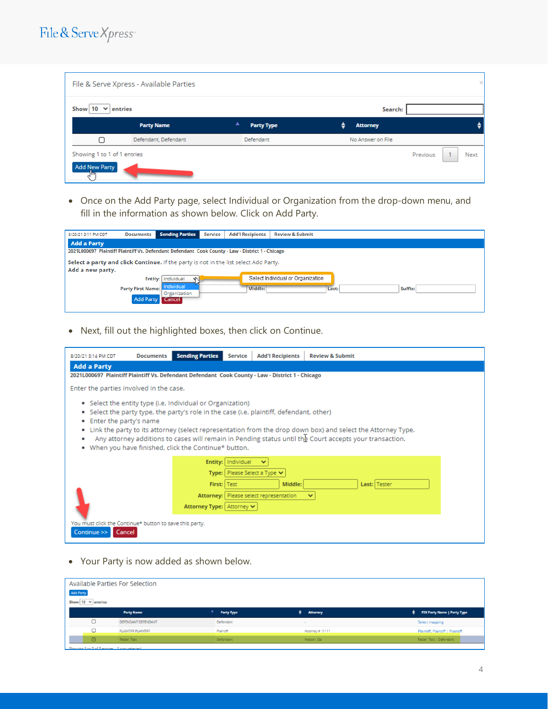### File & Serve Xpress

|                                                           | File & Serve Xpress - Available Parties |   |                   |   |                   |          |  |             |  |  |  |
|-----------------------------------------------------------|-----------------------------------------|---|-------------------|---|-------------------|----------|--|-------------|--|--|--|
| $\vee$ entries<br>Show 10<br>Search:                      |                                         |   |                   |   |                   |          |  |             |  |  |  |
|                                                           | <b>Party Name</b>                       | ▲ | <b>Party Type</b> | ♦ | <b>Attorney</b>   |          |  |             |  |  |  |
| ┌                                                         | Defendant, Defendant                    |   | Defendant         |   | No Answer on File |          |  |             |  |  |  |
| Showing 1 to 1 of 1 entries<br><b>Add New Party</b><br>Чш |                                         |   |                   |   |                   | Previous |  | <b>Next</b> |  |  |  |

• Once on the Add Party page, select Individual or Organization from the drop-down menu, and fill in the information as shown below. Click on Add Party.

| 8/20/21 3:11 PM CDT                                                                                      | <b>Documents</b>                             | <b>Sending Parties</b>               | <b>Service</b> | <b>Add'l Recipients</b> | <b>Review &amp; Submit</b>        |  |  |  |  |  |  |
|----------------------------------------------------------------------------------------------------------|----------------------------------------------|--------------------------------------|----------------|-------------------------|-----------------------------------|--|--|--|--|--|--|
| <b>Add a Party</b>                                                                                       |                                              |                                      |                |                         |                                   |  |  |  |  |  |  |
| 2021L000697 Plaintiff Plaintiff Vs. Defendant Defendant Cook County - Law - District 1 - Chicago         |                                              |                                      |                |                         |                                   |  |  |  |  |  |  |
| Select a party and click Continue. If the party is not in the list select Add Party.<br>Add a new party. |                                              |                                      |                |                         |                                   |  |  |  |  |  |  |
|                                                                                                          |                                              | Entity: Individual                   |                |                         | Select Individual or Organization |  |  |  |  |  |  |
|                                                                                                          | <b>Party First Name:</b><br><b>Add Party</b> | Individual<br>Organization<br>Cancel |                | Middle:                 | Last:<br>Suffix:                  |  |  |  |  |  |  |

• Next, fill out the highlighted boxes, then click on Continue.



• Your Party is now added as shown below.

| Available Parties For Selection |                   |                  |                                         |  |  |  |  |  |  |
|---------------------------------|-------------------|------------------|-----------------------------------------|--|--|--|--|--|--|
| <b>Add Party</b>                |                   |                  |                                         |  |  |  |  |  |  |
| Show $10 \times$ entries        |                   |                  |                                         |  |  |  |  |  |  |
| <b>Party Name</b>               | <b>Party Type</b> | <b>Attorney</b>  | <b>FSX Party Name   Party Type</b><br>٠ |  |  |  |  |  |  |
| O<br>DEFENDANT DEFENDANT        | Defendant         | $\sim$           | Select mapping                          |  |  |  |  |  |  |
| O<br>PLAINTIFF PLAINTIFF        | Plaintiff         | Attorney # 11111 | Plaintiff, Plaintiff   Plaintiff        |  |  |  |  |  |  |
| Ø<br>Tester, Test               | Defendant         | Watson, Qa       | Tester, Test   Defendant                |  |  |  |  |  |  |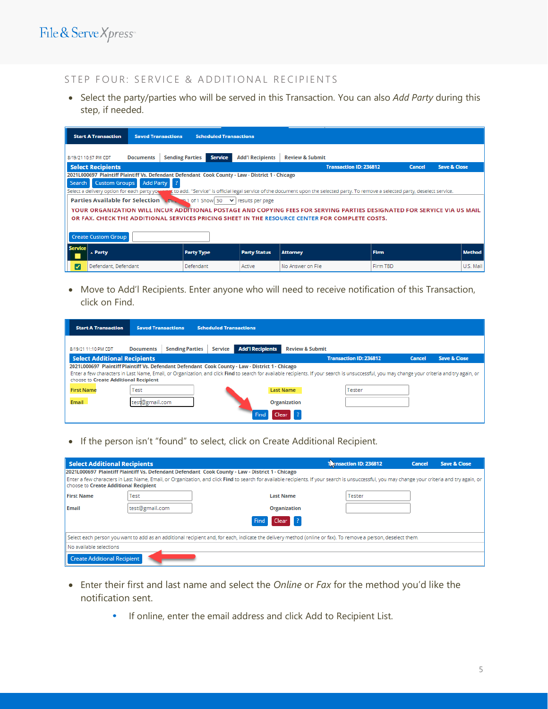#### STEP FOUR: SERVICE & ADDITIONAL RECIPIENTS

• Select the party/parties who will be served in this Transaction. You can also *Add Party* during this step, if needed.

|                | <b>Start A Transaction</b>                                                                       | <b>Saved Transactions</b> |                        | <b>Scheduled Transactions</b>                                                        |                         |                                                                                                                                                                                                                           |               |                         |  |  |
|----------------|--------------------------------------------------------------------------------------------------|---------------------------|------------------------|--------------------------------------------------------------------------------------|-------------------------|---------------------------------------------------------------------------------------------------------------------------------------------------------------------------------------------------------------------------|---------------|-------------------------|--|--|
|                | 8/19/21 10:57 PM CDT                                                                             | <b>Documents</b>          | <b>Sending Parties</b> | <b>Service</b>                                                                       | <b>Add'l Recipients</b> | <b>Review &amp; Submit</b>                                                                                                                                                                                                |               |                         |  |  |
|                | <b>Select Recipients</b>                                                                         |                           |                        |                                                                                      |                         | <b>Transaction ID: 236812</b>                                                                                                                                                                                             | <b>Cancel</b> | <b>Save &amp; Close</b> |  |  |
|                | 2021L000697 Plaintiff Plaintiff Vs. Defendant Defendant Cook County - Law - District 1 - Chicago |                           |                        |                                                                                      |                         |                                                                                                                                                                                                                           |               |                         |  |  |
| Search         | Custom Groups Add Party ?                                                                        |                           |                        |                                                                                      |                         |                                                                                                                                                                                                                           |               |                         |  |  |
|                |                                                                                                  |                           |                        |                                                                                      |                         | Select a delivery option for each party you want to add. "Service" is official legal service of the document upon the selected party. To remove a selected party, deselect service.                                       |               |                         |  |  |
|                |                                                                                                  |                           |                        | <b>Parties Available for Selection Mth. 141 of 1 Show 50</b> $\vee$ results per page |                         |                                                                                                                                                                                                                           |               |                         |  |  |
|                |                                                                                                  |                           |                        |                                                                                      |                         | YOUR ORGANIZATION WILL INCUR ADDITIONAL POSTAGE AND COPYING FEES FOR SERVING PARTIES DESIGNATED FOR SERVICE VIA US MAIL<br>OR FAX. CHECK THE ADDITIONAL SERVICES PRICING SHEET IN THE RESOURCE CENTER FOR COMPLETE COSTS. |               |                         |  |  |
|                | <b>Create Custom Group</b>                                                                       |                           |                        |                                                                                      |                         |                                                                                                                                                                                                                           |               |                         |  |  |
| <b>Service</b> | $\triangle$ Party                                                                                |                           |                        | <b>Party Type</b>                                                                    | <b>Party Status</b>     | <b>Attorney</b>                                                                                                                                                                                                           | <b>Firm</b>   | <b>Method</b>           |  |  |
| ⊽              | Defendant, Defendant                                                                             |                           |                        | Defendant                                                                            | Active                  | No Answer on File                                                                                                                                                                                                         | Firm TBD      | U.S. Mail               |  |  |

• Move to Add'l Recipients. Enter anyone who will need to receive notification of this Transaction, click on Find.

| <b>Start A Transaction</b>                                                                       | <b>Saved Transactions</b> |                        | <b>Scheduled Transactions</b> |                         |                            |                                                                                                                                                                                                |               |                         |
|--------------------------------------------------------------------------------------------------|---------------------------|------------------------|-------------------------------|-------------------------|----------------------------|------------------------------------------------------------------------------------------------------------------------------------------------------------------------------------------------|---------------|-------------------------|
| 8/19/21 11:10 PM CDT                                                                             | <b>Documents</b>          | <b>Sending Parties</b> | Service                       | <b>Add'l Recipients</b> | <b>Review &amp; Submit</b> |                                                                                                                                                                                                |               |                         |
| <b>Select Additional Recipients</b>                                                              |                           |                        |                               |                         |                            | <b>Transaction ID: 236812</b>                                                                                                                                                                  | <b>Cancel</b> | <b>Save &amp; Close</b> |
| 2021L000697 Plaintiff Plaintiff Vs. Defendant Defendant Cook County - Law - District 1 - Chicago |                           |                        |                               |                         |                            |                                                                                                                                                                                                |               |                         |
| choose to Create Additional Recipient                                                            |                           |                        |                               |                         |                            | Enter a few characters in Last Name, Email, or Organization, and click Find to search for available recipients. If your search is unsuccessful, you may change your criteria and try again, or |               |                         |
| <b>First Name</b>                                                                                | Test                      |                        |                               |                         | <b>Last Name</b>           | Tester                                                                                                                                                                                         |               |                         |
| <b>Email</b>                                                                                     | test@gmail.com            |                        |                               |                         | <b>Organization</b>        |                                                                                                                                                                                                |               |                         |
|                                                                                                  |                           |                        |                               | Find<br>Clear           |                            |                                                                                                                                                                                                |               |                         |

• If the person isn't "found" to select, click on Create Additional Recipient.

| Select Additional Recipients                                                                                                                                  |                |                                                                                                                                                                                                | <b>Tensaction ID: 236812</b> |  | <b>Save &amp; Close</b> |  |  |  |
|---------------------------------------------------------------------------------------------------------------------------------------------------------------|----------------|------------------------------------------------------------------------------------------------------------------------------------------------------------------------------------------------|------------------------------|--|-------------------------|--|--|--|
| 2021L000697 Plaintiff Plaintiff Vs. Defendant Defendant Cook County - Law - District 1 - Chicago                                                              |                |                                                                                                                                                                                                |                              |  |                         |  |  |  |
| <b>choose to Create Additional Recipient</b>                                                                                                                  |                | Enter a few characters in Last Name, Email, or Organization, and click Find to search for available recipients. If your search is unsuccessful, you may change your criteria and try again, or |                              |  |                         |  |  |  |
| <b>First Name</b>                                                                                                                                             | Test           | <b>Last Name</b>                                                                                                                                                                               | Tester                       |  |                         |  |  |  |
| Email                                                                                                                                                         | test@gmail.com | <b>Organization</b>                                                                                                                                                                            |                              |  |                         |  |  |  |
| Clear <sup>2</sup><br>Find                                                                                                                                    |                |                                                                                                                                                                                                |                              |  |                         |  |  |  |
| Select each person you want to add as an additional recipient and, for each, indicate the delivery method (online or fax). To remove a person, deselect them. |                |                                                                                                                                                                                                |                              |  |                         |  |  |  |
| No available selections                                                                                                                                       |                |                                                                                                                                                                                                |                              |  |                         |  |  |  |
| <b>Create Additional Recipient</b>                                                                                                                            |                |                                                                                                                                                                                                |                              |  |                         |  |  |  |

- Enter their first and last name and select the *Online* or *Fax* for the method you'd like the notification sent.
	- **•** If online, enter the email address and click Add to Recipient List.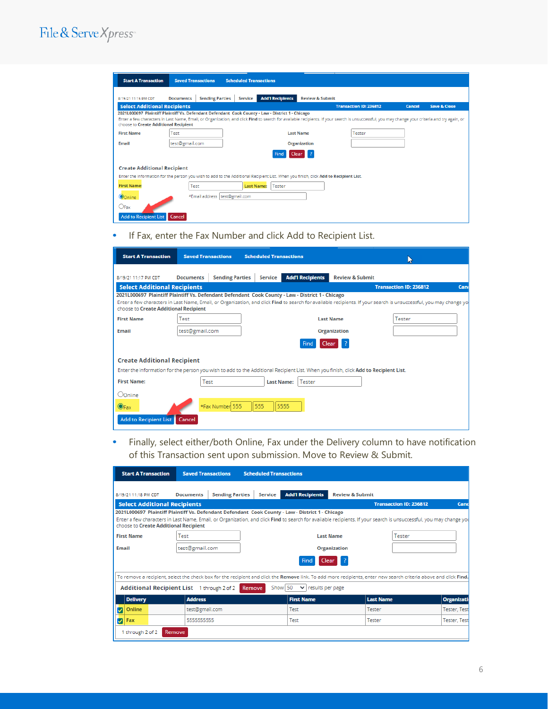## File & Serve Xpress

| <b>Start A Transaction</b>                                                                                                           | <b>Saved Transactions</b>                                                                                                                                                                                                               |                        | <b>Scheduled Transactions</b> |                         |                            |        |  |  |  |
|--------------------------------------------------------------------------------------------------------------------------------------|-----------------------------------------------------------------------------------------------------------------------------------------------------------------------------------------------------------------------------------------|------------------------|-------------------------------|-------------------------|----------------------------|--------|--|--|--|
| 8/19/21 11:15 PM CDT                                                                                                                 | <b>Documents</b>                                                                                                                                                                                                                        | <b>Sending Parties</b> | Service                       | <b>Add'l Recipients</b> | <b>Review &amp; Submit</b> |        |  |  |  |
| <b>Select Additional Recipients</b><br><b>Transaction ID: 236812</b><br><b>Save &amp; Close</b><br><b>Cancel</b>                     |                                                                                                                                                                                                                                         |                        |                               |                         |                            |        |  |  |  |
| 2021L000697 Plaintiff Plaintiff Vs. Defendant Defendant Cook County - Law - District 1 - Chicago                                     |                                                                                                                                                                                                                                         |                        |                               |                         |                            |        |  |  |  |
|                                                                                                                                      | Enter a few characters in Last Name, Email, or Organization, and click Find to search for available recipients. If your search is unsuccessful, you may change your criteria and try again, or<br>choose to Create Additional Recipient |                        |                               |                         |                            |        |  |  |  |
| <b>First Name</b>                                                                                                                    | Test                                                                                                                                                                                                                                    |                        |                               | <b>Last Name</b>        |                            | Tester |  |  |  |
| Email                                                                                                                                | test@gmail.com                                                                                                                                                                                                                          |                        |                               |                         | <b>Organization</b>        |        |  |  |  |
|                                                                                                                                      | <b>Find</b><br>Clear                                                                                                                                                                                                                    |                        |                               |                         |                            |        |  |  |  |
| <b>Create Additional Recipient</b>                                                                                                   |                                                                                                                                                                                                                                         |                        |                               |                         |                            |        |  |  |  |
| Enter the information for the person you wish to add to the Additional Recipient List. When you finish, click Add to Recipient List. |                                                                                                                                                                                                                                         |                        |                               |                         |                            |        |  |  |  |
| <b>First Name:</b>                                                                                                                   | Test                                                                                                                                                                                                                                    |                        | <b>Last Name:</b>             | Tester                  |                            |        |  |  |  |
| *Email address   test@gmail.com<br>Oonline                                                                                           |                                                                                                                                                                                                                                         |                        |                               |                         |                            |        |  |  |  |
| $\bigcirc_{\textsf{Fax}}$                                                                                                            |                                                                                                                                                                                                                                         |                        |                               |                         |                            |        |  |  |  |
| Add to Recipient List   Cancel                                                                                                       |                                                                                                                                                                                                                                         |                        |                               |                         |                            |        |  |  |  |

**•** If Fax, enter the Fax Number and click Add to Recipient List.

| <b>Start A Transaction</b>                                                                                                           | <b>Saved Transactions</b> |                        | <b>Scheduled Transactions</b> |                         |                            | u)                                                                                                                                                                |      |
|--------------------------------------------------------------------------------------------------------------------------------------|---------------------------|------------------------|-------------------------------|-------------------------|----------------------------|-------------------------------------------------------------------------------------------------------------------------------------------------------------------|------|
| 8/19/21 11:17 PM CDT                                                                                                                 | <b>Documents</b>          | <b>Sending Parties</b> | <b>Service</b>                | <b>Add'l Recipients</b> | <b>Review &amp; Submit</b> |                                                                                                                                                                   |      |
| <b>Select Additional Recipients</b>                                                                                                  |                           |                        |                               |                         |                            | <b>Transaction ID: 236812</b>                                                                                                                                     | Cano |
| 2021L000697 Plaintiff Plaintiff Vs. Defendant Defendant Cook County - Law - District 1 - Chicago                                     |                           |                        |                               |                         |                            |                                                                                                                                                                   |      |
| choose to Create Additional Recipient                                                                                                |                           |                        |                               |                         |                            | Enter a few characters in Last Name, Email, or Organization, and click Find to search for available recipients. If your search is unsuccessful, you may change yo |      |
| <b>First Name</b>                                                                                                                    | Test                      |                        |                               |                         | <b>Last Name</b>           | Tester                                                                                                                                                            |      |
| <b>Email</b>                                                                                                                         | test@gmail.com            |                        | <b>Organization</b>           |                         |                            |                                                                                                                                                                   |      |
| Find<br>Clear                                                                                                                        |                           |                        |                               |                         |                            |                                                                                                                                                                   |      |
| <b>Create Additional Recipient</b>                                                                                                   |                           |                        |                               |                         |                            |                                                                                                                                                                   |      |
| Enter the information for the person you wish to add to the Additional Recipient List. When you finish, click Add to Recipient List. |                           |                        |                               |                         |                            |                                                                                                                                                                   |      |
| <b>First Name:</b>                                                                                                                   | Test                      |                        | <b>Last Name:</b>             | Tester                  |                            |                                                                                                                                                                   |      |
| Oonline                                                                                                                              |                           |                        |                               |                         |                            |                                                                                                                                                                   |      |
| $\mathbf{O}_{\text{Fax}}$                                                                                                            |                           | *Fax Number 555        | 555                           | 5555                    |                            |                                                                                                                                                                   |      |
| Add to Recipient List   Cancel                                                                                                       |                           |                        |                               |                         |                            |                                                                                                                                                                   |      |

**•** Finally, select either/both Online, Fax under the Delivery column to have notification of this Transaction sent upon submission. Move to Review & Submit.

| <b>Start A Transaction</b>                                                                                                                                                                                  | <b>Saved Transactions</b>                                                                        | <b>Scheduled Transactions</b>            |                                             |                            |                                                                                                                                                                  |                     |  |  |
|-------------------------------------------------------------------------------------------------------------------------------------------------------------------------------------------------------------|--------------------------------------------------------------------------------------------------|------------------------------------------|---------------------------------------------|----------------------------|------------------------------------------------------------------------------------------------------------------------------------------------------------------|---------------------|--|--|
| 8/19/21 11:18 PM CDT                                                                                                                                                                                        | <b>Documents</b>                                                                                 | <b>Sending Parties</b><br><b>Service</b> | <b>Add'l Recipients</b>                     | <b>Review &amp; Submit</b> |                                                                                                                                                                  |                     |  |  |
| <b>Select Additional Recipients</b>                                                                                                                                                                         |                                                                                                  |                                          |                                             |                            | <b>Transaction ID: 236812</b>                                                                                                                                    | Canc                |  |  |
|                                                                                                                                                                                                             | 2021L000697 Plaintiff Plaintiff Vs. Defendant Defendant Cook County - Law - District 1 - Chicago |                                          |                                             |                            |                                                                                                                                                                  |                     |  |  |
| Enter a few characters in Last Name, Email, or Organization, and click Find to search for available recipients. If your search is unsuccessful, you may change you<br>choose to Create Additional Recipient |                                                                                                  |                                          |                                             |                            |                                                                                                                                                                  |                     |  |  |
| <b>First Name</b>                                                                                                                                                                                           | Test                                                                                             |                                          |                                             | <b>Last Name</b>           | Tester                                                                                                                                                           |                     |  |  |
| Email                                                                                                                                                                                                       | test@gmail.com                                                                                   |                                          |                                             | <b>Organization</b>        |                                                                                                                                                                  |                     |  |  |
| Clear L<br>Find                                                                                                                                                                                             |                                                                                                  |                                          |                                             |                            |                                                                                                                                                                  |                     |  |  |
|                                                                                                                                                                                                             |                                                                                                  |                                          |                                             |                            | To remove a recipient, select the check box for the recipient and click the Remove link. To add more recipients, enter new search criteria above and click Find. |                     |  |  |
| Additional Recipient List 1 through 2 of 2                                                                                                                                                                  |                                                                                                  | Remove                                   | Show 50<br>$\checkmark$<br>results per page |                            |                                                                                                                                                                  |                     |  |  |
| <b>Delivery</b>                                                                                                                                                                                             | <b>Address</b>                                                                                   |                                          | <b>First Name</b>                           |                            | <b>Last Name</b>                                                                                                                                                 | <b>Organizati</b>   |  |  |
| Online<br>v                                                                                                                                                                                                 | test@gmail.com                                                                                   |                                          | Test                                        |                            | Tester                                                                                                                                                           | <b>Tester, Test</b> |  |  |
| Fax<br>⊽                                                                                                                                                                                                    | 5555555555                                                                                       |                                          | Test                                        |                            | Tester                                                                                                                                                           | <b>Tester, Test</b> |  |  |
| 1 through 2 of 2<br>Remove                                                                                                                                                                                  |                                                                                                  |                                          |                                             |                            |                                                                                                                                                                  |                     |  |  |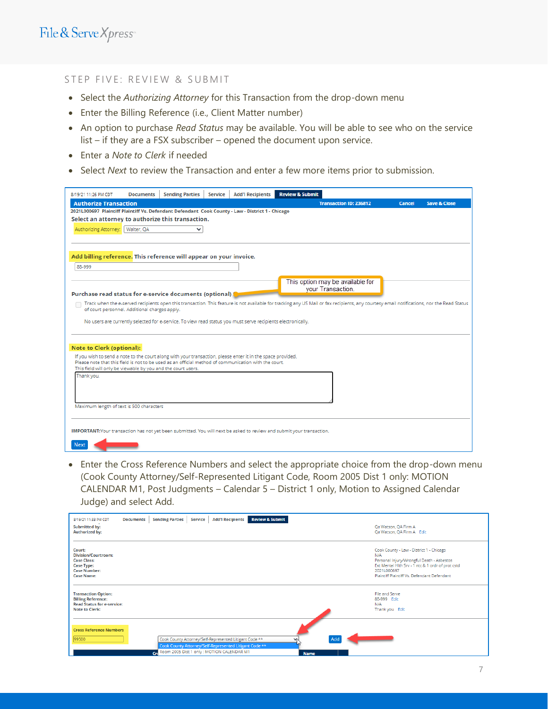#### STEP FIVE: REVIEW & SUBMIT

- Select the *Authorizing Attorney* for this Transaction from the drop-down menu
- Enter the Billing Reference (i.e., Client Matter number)
- An option to purchase *Read Status* may be available. You will be able to see who on the service list – if they are a FSX subscriber – opened the document upon service.
- Enter a *Note to Clerk* if needed
- Select *Next* to review the Transaction and enter a few more items prior to submission.

| 8/19/21 11:26 PM CDT                                                                                                  | <b>Documents</b> | <b>Sending Parties</b> | Service | <b>Add'l Recipients</b>                                                                                      | <b>Review &amp; Submit</b> |                                                                                                                                                                                           |               |                         |
|-----------------------------------------------------------------------------------------------------------------------|------------------|------------------------|---------|--------------------------------------------------------------------------------------------------------------|----------------------------|-------------------------------------------------------------------------------------------------------------------------------------------------------------------------------------------|---------------|-------------------------|
| <b>Authorize Transaction</b>                                                                                          |                  |                        |         |                                                                                                              |                            | <b>Transaction ID: 236812</b>                                                                                                                                                             | <b>Cancel</b> | <b>Save &amp; Close</b> |
| 2021L000697 Plaintiff Plaintiff Vs. Defendant Defendant Cook County - Law - District 1 - Chicago                      |                  |                        |         |                                                                                                              |                            |                                                                                                                                                                                           |               |                         |
| Select an attorney to authorize this transaction.                                                                     |                  |                        |         |                                                                                                              |                            |                                                                                                                                                                                           |               |                         |
| Authorizing Attorney:<br>Walter, OA<br>◡                                                                              |                  |                        |         |                                                                                                              |                            |                                                                                                                                                                                           |               |                         |
|                                                                                                                       |                  |                        |         |                                                                                                              |                            |                                                                                                                                                                                           |               |                         |
|                                                                                                                       |                  |                        |         |                                                                                                              |                            |                                                                                                                                                                                           |               |                         |
| Add billing reference. This reference will appear on your invoice.                                                    |                  |                        |         |                                                                                                              |                            |                                                                                                                                                                                           |               |                         |
| 88-999                                                                                                                |                  |                        |         |                                                                                                              |                            |                                                                                                                                                                                           |               |                         |
|                                                                                                                       |                  |                        |         |                                                                                                              |                            |                                                                                                                                                                                           |               |                         |
|                                                                                                                       |                  |                        |         |                                                                                                              |                            | This option may be available for<br>your Transaction.                                                                                                                                     |               |                         |
| Purchase read status for e-service documents (optional)                                                               |                  |                        |         |                                                                                                              |                            |                                                                                                                                                                                           |               |                         |
| of court personnel. Additional charges apply.                                                                         |                  |                        |         |                                                                                                              |                            | Track when the e-served recipients open this transaction. This feature is not available for tracking any US Mail or fax recipients, any courtesy email notifications, nor the Read Status |               |                         |
|                                                                                                                       |                  |                        |         |                                                                                                              |                            |                                                                                                                                                                                           |               |                         |
|                                                                                                                       |                  |                        |         | No users are currently selected for e-service. To view read status you must serve recipients electronically. |                            |                                                                                                                                                                                           |               |                         |
|                                                                                                                       |                  |                        |         |                                                                                                              |                            |                                                                                                                                                                                           |               |                         |
| <b>Note to Clerk (optional):</b>                                                                                      |                  |                        |         |                                                                                                              |                            |                                                                                                                                                                                           |               |                         |
| If you wish to send a note to the court along with your transaction, please enter it in the space provided.           |                  |                        |         |                                                                                                              |                            |                                                                                                                                                                                           |               |                         |
| Please note that this field is not to be used as an official method of communication with the court.                  |                  |                        |         |                                                                                                              |                            |                                                                                                                                                                                           |               |                         |
| This field will only be viewable by you and the court users.                                                          |                  |                        |         |                                                                                                              |                            |                                                                                                                                                                                           |               |                         |
| Thank you.                                                                                                            |                  |                        |         |                                                                                                              |                            |                                                                                                                                                                                           |               |                         |
|                                                                                                                       |                  |                        |         |                                                                                                              |                            |                                                                                                                                                                                           |               |                         |
|                                                                                                                       |                  |                        |         |                                                                                                              |                            |                                                                                                                                                                                           |               |                         |
| Maximum length of text is 500 characters                                                                              |                  |                        |         |                                                                                                              |                            |                                                                                                                                                                                           |               |                         |
|                                                                                                                       |                  |                        |         |                                                                                                              |                            |                                                                                                                                                                                           |               |                         |
|                                                                                                                       |                  |                        |         |                                                                                                              |                            |                                                                                                                                                                                           |               |                         |
| IMPORTANT: Your transaction has not yet been submitted. You will next be asked to review and submit your transaction. |                  |                        |         |                                                                                                              |                            |                                                                                                                                                                                           |               |                         |
| <b>Next</b>                                                                                                           |                  |                        |         |                                                                                                              |                            |                                                                                                                                                                                           |               |                         |
|                                                                                                                       |                  |                        |         |                                                                                                              |                            |                                                                                                                                                                                           |               |                         |

• Enter the Cross Reference Numbers and select the appropriate choice from the drop-down menu (Cook County Attorney/Self-Represented Litigant Code, Room 2005 Dist 1 only: MOTION CALENDAR M1, Post Judgments – Calendar 5 – District 1 only, Motion to Assigned Calendar Judge) and select Add.

| 8/19/21 11:33 PM CDT<br><b>Submitted by:</b><br><b>Authorized by:</b>                                                       | <b>Documents</b> | <b>Sending Parties</b> | Service | <b>Add'l Recipients</b>                                                                                                                                            | <b>Review &amp; Submit</b> |             |  | Qa Watson, QA Firm A<br>Qa Watson, QA Firm A Edit                                                                                                                                                               |
|-----------------------------------------------------------------------------------------------------------------------------|------------------|------------------------|---------|--------------------------------------------------------------------------------------------------------------------------------------------------------------------|----------------------------|-------------|--|-----------------------------------------------------------------------------------------------------------------------------------------------------------------------------------------------------------------|
| Court:<br><b>Division/Courtroom:</b><br><b>Case Class:</b><br><b>Case Type:</b><br><b>Case Number:</b><br><b>Case Name:</b> |                  |                        |         |                                                                                                                                                                    |                            |             |  | Cook County - Law - District 1 - Chicago<br>N/A<br>Personal Injury/Wrongful Death - Asbestos<br>Ext Mental Hith Srv - 1 ntc & 1 ordr of prot cstd<br>2021L000697<br>Plaintiff Plaintiff Vs. Defendant Defendant |
| <b>Transaction Option:</b><br><b>Billing Reference:</b><br><b>Read Status for e-service:</b><br><b>Note to Clerk:</b>       |                  |                        |         |                                                                                                                                                                    |                            |             |  | File and Serve<br>88-999 Edit<br>N/A<br>Thank you Edit                                                                                                                                                          |
| <b>Cross Reference Numbers</b><br>99500                                                                                     |                  |                        |         | Cook County Attorney/Self-Represented Litigant Code **<br>Cook County Attorney/Self-Represented Litigant Code **<br>Cr. Room 2005 Dist 1 only : MOTION CALENDAR M1 |                            | <b>Name</b> |  |                                                                                                                                                                                                                 |